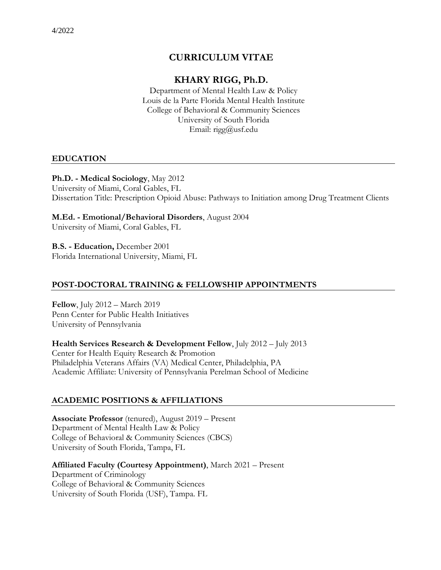# **CURRICULUM VITAE**

# **KHARY RIGG, Ph.D.**

Department of Mental Health Law & Policy Louis de la Parte Florida Mental Health Institute College of Behavioral & Community Sciences University of South Florida Email: rigg@usf.edu

## **EDUCATION**

## **Ph.D. - Medical Sociology**, May 2012

University of Miami, Coral Gables, FL Dissertation Title: Prescription Opioid Abuse: Pathways to Initiation among Drug Treatment Clients

## **M.Ed. - Emotional/Behavioral Disorders**, August 2004

University of Miami, Coral Gables, FL

**B.S. - Education,** December 2001 Florida International University, Miami, FL

## **POST-DOCTORAL TRAINING & FELLOWSHIP APPOINTMENTS**

**Fellow**, July 2012 – March 2019 Penn Center for Public Health Initiatives University of Pennsylvania

**Health Services Research & Development Fellow**, July 2012 – July 2013 Center for Health Equity Research & Promotion Philadelphia Veterans Affairs (VA) Medical Center, Philadelphia, PA Academic Affiliate: University of Pennsylvania Perelman School of Medicine

## **ACADEMIC POSITIONS & AFFILIATIONS**

**Associate Professor** (tenured), August 2019 – Present Department of Mental Health Law & Policy College of Behavioral & Community Sciences (CBCS) University of South Florida, Tampa, FL

**Affiliated Faculty (Courtesy Appointment)**, March 2021 – Present Department of Criminology College of Behavioral & Community Sciences University of South Florida (USF), Tampa. FL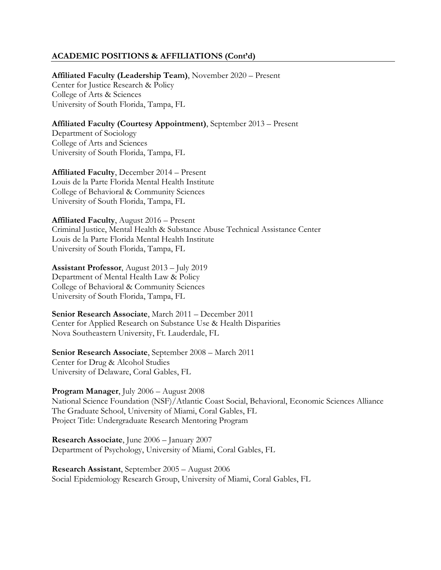## **ACADEMIC POSITIONS & AFFILIATIONS (Cont'd)**

**Affiliated Faculty (Leadership Team)**, November 2020 – Present Center for Justice Research & Policy College of Arts & Sciences University of South Florida, Tampa, FL

**Affiliated Faculty (Courtesy Appointment)**, September 2013 – Present Department of Sociology College of Arts and Sciences

University of South Florida, Tampa, FL

**Affiliated Faculty**, December 2014 – Present Louis de la Parte Florida Mental Health Institute College of Behavioral & Community Sciences University of South Florida, Tampa, FL

**Affiliated Faculty**, August 2016 – Present Criminal Justice, Mental Health & Substance Abuse Technical Assistance Center Louis de la Parte Florida Mental Health Institute University of South Florida, Tampa, FL

**Assistant Professor**, August 2013 – July 2019 Department of Mental Health Law & Policy College of Behavioral & Community Sciences University of South Florida, Tampa, FL

**Senior Research Associate**, March 2011 – December 2011 Center for Applied Research on Substance Use & Health Disparities Nova Southeastern University, Ft. Lauderdale, FL

**Senior Research Associate**, September 2008 – March 2011 Center for Drug & Alcohol Studies University of Delaware, Coral Gables, FL

**Program Manager**, July 2006 – August 2008 National Science Foundation (NSF)/Atlantic Coast Social, Behavioral, Economic Sciences Alliance The Graduate School, University of Miami, Coral Gables, FL Project Title: Undergraduate Research Mentoring Program

**Research Associate**, June 2006 – January 2007 Department of Psychology, University of Miami, Coral Gables, FL

**Research Assistant**, September 2005 – August 2006 Social Epidemiology Research Group, University of Miami, Coral Gables, FL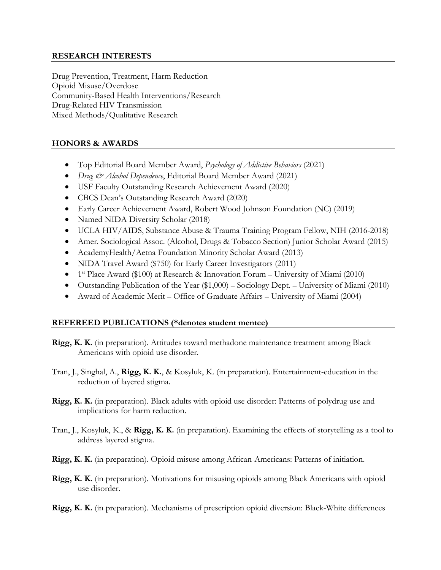## **RESEARCH INTERESTS**

Drug Prevention, Treatment, Harm Reduction Opioid Misuse/Overdose Community-Based Health Interventions/Research Drug-Related HIV Transmission Mixed Methods/Qualitative Research

## **HONORS & AWARDS**

- Top Editorial Board Member Award, *Psychology of Addictive Behaviors* (2021)
- *Drug & Alcohol Dependence*, Editorial Board Member Award (2021)
- USF Faculty Outstanding Research Achievement Award (2020)
- CBCS Dean's Outstanding Research Award (2020)
- Early Career Achievement Award, Robert Wood Johnson Foundation (NC) (2019)
- Named NIDA Diversity Scholar (2018)
- UCLA HIV/AIDS, Substance Abuse & Trauma Training Program Fellow, NIH (2016-2018)
- Amer. Sociological Assoc. (Alcohol, Drugs & Tobacco Section) Junior Scholar Award (2015)
- AcademyHealth/Aetna Foundation Minority Scholar Award (2013)
- NIDA Travel Award (\$750) for Early Career Investigators (2011)
- 1<sup>st</sup> Place Award (\$100) at Research & Innovation Forum University of Miami (2010)
- Outstanding Publication of the Year (\$1,000) Sociology Dept. University of Miami (2010)
- Award of Academic Merit Office of Graduate Affairs University of Miami (2004)

## **REFEREED PUBLICATIONS (\*denotes student mentee)**

- **Rigg, K. K.** (in preparation). Attitudes toward methadone maintenance treatment among Black Americans with opioid use disorder.
- Tran, J., Singhal, A., **Rigg, K. K.**, & Kosyluk, K. (in preparation). Entertainment-education in the reduction of layered stigma.
- **Rigg, K. K.** (in preparation). Black adults with opioid use disorder: Patterns of polydrug use and implications for harm reduction.
- Tran, J., Kosyluk, K., & **Rigg, K. K.** (in preparation). Examining the effects of storytelling as a tool to address layered stigma.
- **Rigg, K. K.** (in preparation). Opioid misuse among African-Americans: Patterns of initiation.
- **Rigg, K. K.** (in preparation). Motivations for misusing opioids among Black Americans with opioid use disorder.
- **Rigg, K. K.** (in preparation). Mechanisms of prescription opioid diversion: Black-White differences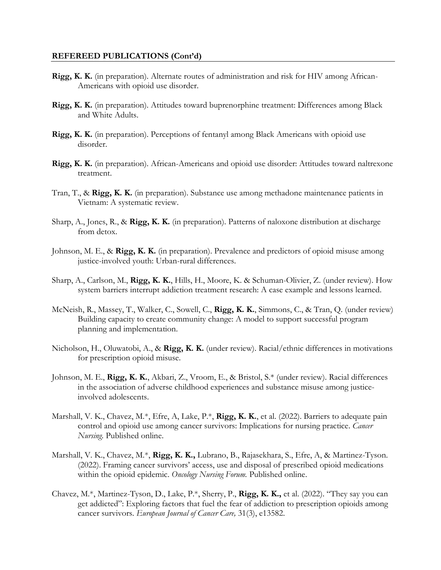- **Rigg, K. K.** (in preparation). Alternate routes of administration and risk for HIV among African-Americans with opioid use disorder.
- **Rigg, K. K.** (in preparation). Attitudes toward buprenorphine treatment: Differences among Black and White Adults.
- **Rigg, K. K.** (in preparation). Perceptions of fentanyl among Black Americans with opioid use disorder.
- **Rigg, K. K.** (in preparation). African-Americans and opioid use disorder: Attitudes toward naltrexone treatment.
- Tran, T., & **Rigg, K. K.** (in preparation). Substance use among methadone maintenance patients in Vietnam: A systematic review.
- Sharp, A., Jones, R., & **Rigg, K. K.** (in preparation). Patterns of naloxone distribution at discharge from detox.
- Johnson, M. E., & **Rigg, K. K.** (in preparation). Prevalence and predictors of opioid misuse among justice-involved youth: Urban-rural differences.
- Sharp, A., Carlson, M., **Rigg, K. K.**, Hills, H., Moore, K. & Schuman-Olivier, Z. (under review). How system barriers interrupt addiction treatment research: A case example and lessons learned.
- McNeish, R., Massey, T., Walker, C., Sowell, C., **Rigg, K. K.**, Simmons, C., & Tran, Q. (under review) Building capacity to create community change: A model to support successful program planning and implementation.
- Nicholson, H., Oluwatobi, A., & **Rigg, K. K.** (under review). Racial/ethnic differences in motivations for prescription opioid misuse.
- Johnson, M. E., **Rigg, K. K.**, Akbari, Z., Vroom, E., & Bristol, S.\* (under review). Racial differences in the association of adverse childhood experiences and substance misuse among justiceinvolved adolescents.
- Marshall, V. K., Chavez, M.\*, Efre, A, Lake, P.\*, **Rigg, K. K.**, et al. (2022). Barriers to adequate pain control and opioid use among cancer survivors: Implications for nursing practice. *Cancer Nursing.* Published online.
- Marshall, V. K., Chavez, M.\*, **Rigg, K. K.,** Lubrano, B., Rajasekhara, S., Efre, A, & Martinez-Tyson. (2022). Framing cancer survivors' access, use and disposal of prescribed opioid medications within the opioid epidemic. *Oncology Nursing Forum.* Published online.
- Chavez, M.\*, Martinez-Tyson, D., Lake, P.\*, Sherry, P., **Rigg, K. K.,** et al. (2022). "They say you can get addicted": Exploring factors that fuel the fear of addiction to prescription opioids among cancer survivors. *European Journal of Cancer Care,* 31(3), e13582.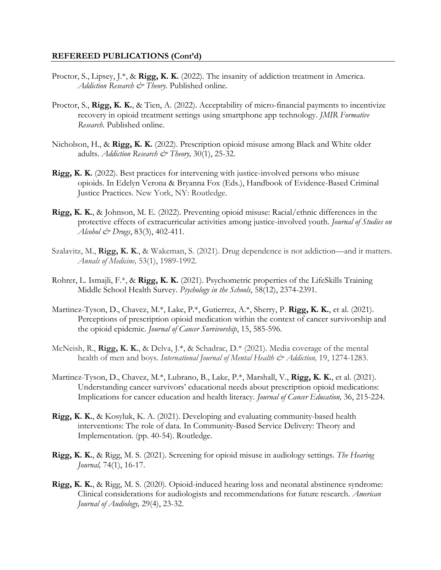- Proctor, S., Lipsey, J.\*, & **Rigg, K. K.** (2022). The insanity of addiction treatment in America. Addiction Research & Theory. Published online.
- Proctor, S., **Rigg, K. K.**, & Tien, A. (2022). Acceptability of micro-financial payments to incentivize recovery in opioid treatment settings using smartphone app technology. *JMIR Formative Research.* Published online.
- Nicholson, H., & **Rigg, K. K.** (2022). Prescription opioid misuse among Black and White older adults. *Addiction Research & Theory,* 30(1), 25-32.
- **Rigg, K. K.** (2022). Best practices for intervening with justice-involved persons who misuse opioids. In Edelyn Verona & Bryanna Fox (Eds.), Handbook of Evidence-Based Criminal Justice Practices. New York, NY: Routledge.
- **Rigg, K. K.**, & Johnson, M. E. (2022). Preventing opioid misuse: Racial/ethnic differences in the protective effects of extracurricular activities among justice-involved youth. *Journal of Studies on Alcohol & Drugs*, 83(3), 402-411.
- Szalavitz, M., **Rigg, K. K**., & Wakeman, S. (2021). Drug dependence is not addiction—and it matters. *Annals of Medicine,* 53(1), 1989-1992.
- Rohrer, L. Ismajli, F.\*, & **Rigg, K. K.** (2021). Psychometric properties of the LifeSkills Training Middle School Health Survey. *Psychology in the Schools*, 58(12), 2374-2391.
- Martinez-Tyson, D., Chavez, M.\*, Lake, P.\*, Gutierrez, A.\*, Sherry, P. **Rigg, K. K.**, et al. (2021). Perceptions of prescription opioid medication within the context of cancer survivorship and the opioid epidemic. *Journal of Cancer Survivorship*, 15, 585-596.
- McNeish, R., **Rigg, K. K.**, & Delva, J.\*, & Schadrac, D.\* (2021). Media coverage of the mental health of men and boys. *International Journal of Mental Health & Addiction,* 19, 1274-1283.
- Martinez-Tyson, D., Chavez, M.\*, Lubrano, B., Lake, P.\*, Marshall, V., **Rigg, K. K.**, et al. (2021). Understanding cancer survivors' educational needs about prescription opioid medications: Implications for cancer education and health literacy. *Journal of Cancer Education,* 36, 215-224.
- **Rigg, K. K.**, & Kosyluk, K. A. (2021). Developing and evaluating community-based health interventions: The role of data. In Community-Based Service Delivery: Theory and Implementation. (pp. 40-54). Routledge.
- **Rigg, K. K.**, & Rigg, M. S. (2021). Screening for opioid misuse in audiology settings. *The Hearing Journal,* 74(1), 16-17.
- **Rigg, K. K.**, & Rigg, M. S. (2020). Opioid-induced hearing loss and neonatal abstinence syndrome: Clinical considerations for audiologists and recommendations for future research. *American Journal of Audiology,* 29(4), 23-32.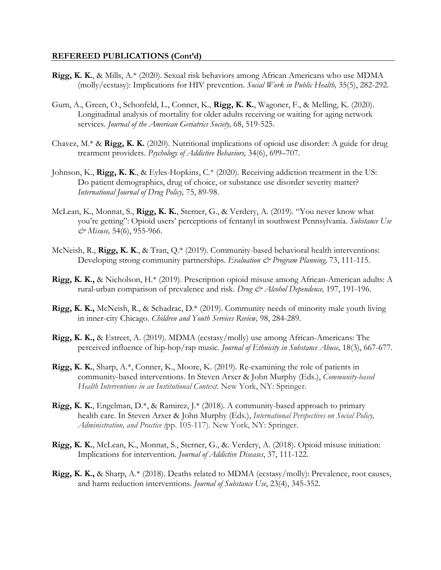- **Rigg, K. K.**, & Mills, A.\* (2020). Sexual risk behaviors among African Americans who use MDMA (molly/ecstasy): Implications for HIV prevention. *Social Work in Public Health,* 35(5), 282-292.
- Gum, A., Green, O., Schonfeld, L., Conner, K., **Rigg, K. K.**, Wagoner, F., & Melling, K. (2020). Longitudinal analysis of mortality for older adults receiving or waiting for aging network services. *Journal of the American Geriatrics Society,* 68, 519-525.
- Chavez, M.\* & **Rigg, K. K.** (2020). Nutritional implications of opioid use disorder: A guide for drug treatment providers. *Psychology of Addictive Behaviors,* 34(6), 699–707.
- Johnson, K., **Rigg, K. K**., & Eyles-Hopkins, C.\* (2020). Receiving addiction treatment in the US: Do patient demographics, drug of choice, or substance use disorder severity matter? *International Journal of Drug Policy,* 75, 89-98.
- McLean, K., Monnat, S., **Rigg, K. K.**, Sterner, G., & Verdery, A. (2019). "You never know what you're getting": Opioid users' perceptions of fentanyl in southwest Pennsylvania. *Substance Use & Misuse,* 54(6), 955-966.
- McNeish, R., **Rigg, K. K**., & Tran, Q.\* (2019). Community-based behavioral health interventions: Developing strong community partnerships. *Evaluation & Program Planning,* 73, 111-115.
- **Rigg, K. K.,** & Nicholson, H.\* (2019). Prescription opioid misuse among African-American adults: A rural-urban comparison of prevalence and risk. *Drug & Alcohol Dependence,* 197, 191-196.
- **Rigg, K. K.,** McNeish, R., & Schadrac, D.\* (2019). Community needs of minority male youth living in inner-city Chicago. *Children and Youth Services Review,* 98, 284-289.
- **Rigg, K. K.,** & Estreet, A. (2019). MDMA (ecstasy/molly) use among African-Americans: The perceived influence of hip-hop/rap music. *Journal of Ethnicity in Substance Abuse,* 18(3), 667-677.
- **Rigg, K. K.**, Sharp, A.\*, Conner, K., Moore, K. (2019). Re-examining the role of patients in community-based interventions. In Steven Arxer & John Murphy (Eds.), *Community-based Health Interventions in an Institutional Context.* New York, NY: Springer.
- **Rigg, K. K.**, Engelman, D.\*, & Ramirez, J.\* (2018). A community-based approach to primary health care. In Steven Arxer & John Murphy (Eds.), *International Perspectives on Social Policy, Administration, and Practice (*pp. 105-117). New York, NY: Springer.
- **Rigg, K. K.**, McLean, K., Monnat, S., Sterner, G., &. Verdery, A. (2018). Opioid misuse initiation: Implications for intervention. *Journal of Addictive Diseases*, 37, 111-122.
- **Rigg, K. K.,** & Sharp, A.\* (2018). Deaths related to MDMA (ecstasy/molly): Prevalence, root causes, and harm reduction interventions. *Journal of Substance Use*, 23(4), 345-352.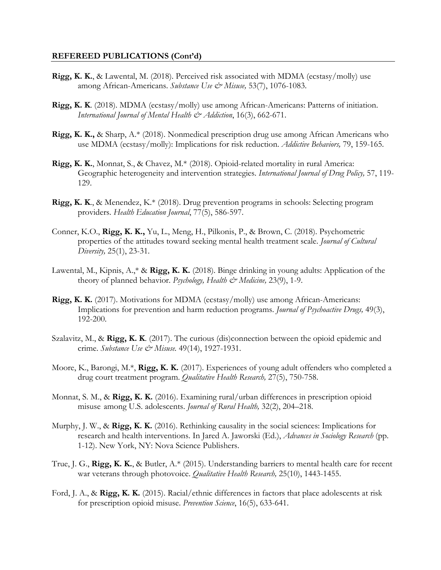- **Rigg, K. K.**, & Lawental, M. (2018). Perceived risk associated with MDMA (ecstasy/molly) use among African-Americans. *Substance Use & Misuse,* 53(7), 1076-1083.
- **Rigg, K. K**. (2018). MDMA (ecstasy/molly) use among African-Americans: Patterns of initiation. *International Journal of Mental Health & Addiction*, 16(3), 662-671.
- **Rigg, K. K.,** & Sharp, A.\* (2018). Nonmedical prescription drug use among African Americans who use MDMA (ecstasy/molly): Implications for risk reduction. *Addictive Behaviors,* 79, 159-165.
- **Rigg, K. K.**, Monnat, S., & Chavez, M.\* (2018). Opioid-related mortality in rural America: Geographic heterogeneity and intervention strategies. *International Journal of Drug Policy,* 57, 119- 129.
- **Rigg, K. K**., & Menendez, K.\* (2018). Drug prevention programs in schools: Selecting program providers. *Health Education Journal*, 77(5), 586-597.
- Conner, K.O., **Rigg, K. K.,** Yu, L., Meng, H., Pilkonis, P., & Brown, C. (2018). Psychometric properties of the attitudes toward seeking mental health treatment scale. *Journal of Cultural Diversity,* 25(1), 23-31.
- Lawental, M., Kipnis, A.,\* & **Rigg, K. K.** (2018). Binge drinking in young adults: Application of the theory of planned behavior. *Psychology, Health & Medicine*, 23(9), 1-9.
- **Rigg, K. K.** (2017). Motivations for MDMA (ecstasy/molly) use among African-Americans: Implications for prevention and harm reduction programs. *Journal of Psychoactive Drugs,* 49(3), 192-200.
- Szalavitz, M., & **Rigg, K. K**. (2017). The curious (dis)connection between the opioid epidemic and crime. *Substance Use & Misuse.* 49(14), 1927-1931.
- Moore, K., Barongi, M.\*, **Rigg, K. K.** (2017). Experiences of young adult offenders who completed a drug court treatment program. *Qualitative Health Research,* 27(5), 750-758.
- Monnat, S. M., & **Rigg, K. K.** (2016). Examining rural/urban differences in prescription opioid misuse among U.S. adolescents. *Journal of Rural Health,* 32(2), 204–218.
- Murphy, J. W., & **Rigg, K. K.** (2016). Rethinking causality in the social sciences: Implications for research and health interventions. In Jared A. Jaworski (Ed.), *Advances in Sociology Research* (pp. 1-12). New York, NY: Nova Science Publishers.
- True, J. G., **Rigg, K. K.**, & Butler, A.\* (2015). Understanding barriers to mental health care for recent war veterans through photovoice. *Qualitative Health Research,* 25(10), 1443-1455.
- Ford, J. A., & **Rigg, K. K.** (2015). Racial/ethnic differences in factors that place adolescents at risk for prescription opioid misuse. *Prevention Science*, 16(5), 633-641.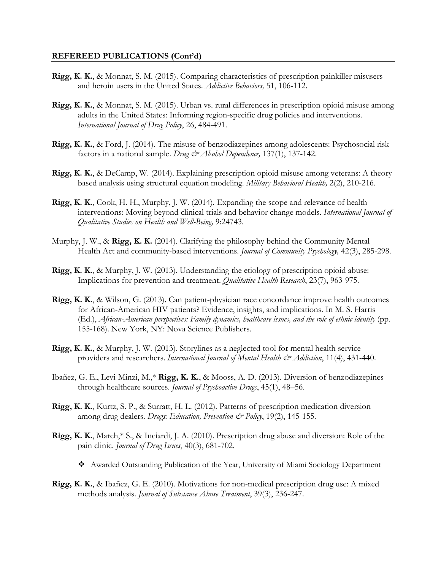- **Rigg, K. K.**, & Monnat, S. M. (2015). Comparing characteristics of prescription painkiller misusers and heroin users in the United States. *Addictive Behaviors,* 51, 106-112.
- **Rigg, K. K.**, & Monnat, S. M. (2015). Urban vs. rural differences in prescription opioid misuse among adults in the United States: Informing region-specific drug policies and interventions. *International Journal of Drug Policy*, 26, 484-491.
- **Rigg, K. K.**, & Ford, J. (2014). The misuse of benzodiazepines among adolescents: Psychosocial risk factors in a national sample. *Drug & Alcohol Dependence*, 137(1), 137-142.
- **Rigg, K. K.**, & DeCamp, W. (2014). Explaining prescription opioid misuse among veterans: A theory based analysis using structural equation modeling. *Military Behavioral Health,* 2(2), 210-216.
- **Rigg, K. K.**, Cook, H. H., Murphy, J. W. (2014). Expanding the scope and relevance of health interventions: Moving beyond clinical trials and behavior change models. *International Journal of Qualitative Studies on Health and Well-Being,* 9:24743.
- Murphy, J. W., & **Rigg, K. K.** (2014). Clarifying the philosophy behind the Community Mental Health Act and community-based interventions. *Journal of Community Psychology,* 42(3), 285-298.
- **Rigg, K. K.**, & Murphy, J. W. (2013). Understanding the etiology of prescription opioid abuse: Implications for prevention and treatment. *Qualitative Health Research*, 23(7), 963-975.
- **Rigg, K. K.**, & Wilson, G. (2013). Can patient-physician race concordance improve health outcomes for African-American HIV patients? Evidence, insights, and implications. In M. S. Harris (Ed.), *African-American perspectives: Family dynamics, healthcare issues, and the role of ethnic identity* (pp. 155-168). New York, NY: Nova Science Publishers.
- **Rigg, K. K.**, & Murphy, J. W. (2013). Storylines as a neglected tool for mental health service providers and researchers. *International Journal of Mental Health & Addiction*, 11(4), 431-440.
- Ibañez, G. E., Levi-Minzi, M.,\* **Rigg, K. K.**, & Mooss, A. D. (2013). Diversion of benzodiazepines through healthcare sources. *Journal of Psychoactive Drugs*, 45(1), 48–56.
- **Rigg, K. K.**, Kurtz, S. P., & Surratt, H. L. (2012). Patterns of prescription medication diversion among drug dealers. *Drugs: Education, Prevention & Policy*, 19(2), 145-155.
- **Rigg, K. K.**, March,\* S., & Inciardi, J. A. (2010). Prescription drug abuse and diversion: Role of the pain clinic. *Journal of Drug Issues*, 40(3), 681-702.
	- ❖ Awarded Outstanding Publication of the Year, University of Miami Sociology Department
- **Rigg, K. K.**, & Ibañez, G. E. (2010). Motivations for non-medical prescription drug use: A mixed methods analysis. *Journal of Substance Abuse Treatment*, 39(3), 236-247.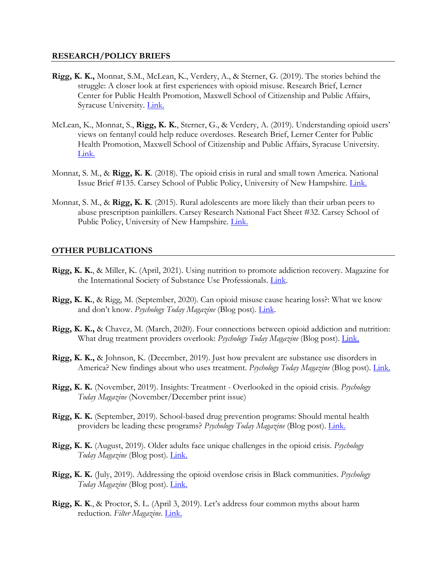#### **RESEARCH/POLICY BRIEFS**

- **Rigg, K. K.,** Monnat, S.M., McLean, K., Verdery, A., & Sterner, G. (2019). The stories behind the struggle: A closer look at first experiences with opioid misuse. Research Brief, Lerner Center for Public Health Promotion, Maxwell School of Citizenship and Public Affairs, Syracuse University. [Link.](http://lernercenter.syr.edu/wp-content/uploads/2019/05/Rigg_OpioidInitiation_FINAL.pdf)
- McLean, K., Monnat, S., **Rigg, K. K.**, Sterner, G., & Verdery, A. (2019). Understanding opioid users' views on fentanyl could help reduce overdoses. Research Brief, Lerner Center for Public Health Promotion, Maxwell School of Citizenship and Public Affairs, Syracuse University. [Link.](http://lernercenter.syr.edu/wp-content/uploads/2019/06/Fentanyl_ResearchBrief_FINAL.pdf)
- Monnat, S. M., & **Rigg, K. K**. (2018). The opioid crisis in rural and small town America. National Issue Brief #135. Carsey School of Public Policy, University of New Hampshire. [Link.](https://scholars.unh.edu/cgi/viewcontent.cgi?article=1342&context=carsey)
- Monnat, S. M., & **Rigg, K. K**. (2015). Rural adolescents are more likely than their urban peers to abuse prescription painkillers. Carsey Research National Fact Sheet #32. Carsey School of Public Policy, University of New Hampshire. [Link.](https://scholars.unh.edu/cgi/viewcontent.cgi?referer=http://www.google.com/url?sa=t&rct=j&q=&esrc=s&source=web&cd=1&ved=2ahUKEwjQ__fNnoPkAhXPrVkKHWGIDvYQFjAAegQIBBAC&url=http%3A%2F%2Fscholars.unh.edu%2Fcgi%2Fviewcontent.cgi%3Farticle%3D1255%26context%3Dcarsey&usg=AOvVaw02HiqlR48AsL7aowy_FbnE&httpsredir=1&article=1255&context=carsey)

## **OTHER PUBLICATIONS**

- **Rigg, K. K.**, & Miller, K. (April, 2021). Using nutrition to promote addiction recovery. Magazine for the International Society of Substance Use Professionals. [Link.](https://www.issup.net/knowledge-share/publications/2021-03/using-nutrition-promote-addiction-recovery)
- **Rigg, K. K.**, & Rigg, M. (September, 2020). Can opioid misuse cause hearing loss?: What we know and don't know. *Psychology Today Magazine* (Blog post). [Link.](https://www.psychologytoday.com/us/blog/drugs-and-the-people-who-use-them/202009/can-opioid-misuse-cause-hearing-loss)
- **Rigg, K. K.,** & Chavez, M. (March, 2020). Four connections between opioid addiction and nutrition: What drug treatment providers overlook: *Psychology Today Magazine* (Blog post). [Link.](https://www.psychologytoday.com/us/blog/drugs-and-the-people-who-use-them/202003/the-link-between-opioid-addiction-and-nutrition)
- **Rigg, K. K.,** & Johnson, K. (December, 2019). Just how prevalent are substance use disorders in America? New findings about who uses treatment. *Psychology Today Magazine* (Blog post). [Link.](https://www.psychologytoday.com/us/blog/drugs-and-the-people-who-use-them/201911/just-how-prevalent-are-substance-use-disorders-in)
- **Rigg, K. K.** (November, 2019). Insights: Treatment Overlooked in the opioid crisis. *Psychology Today Magazine* (November/December print issue)
- **Rigg, K. K.** (September, 2019). School-based drug prevention programs: Should mental health providers be leading these programs? *Psychology Today Magazine* (Blog post). [Link.](https://www.psychologytoday.com/us/blog/drugs-and-the-people-who-use-them/201909/school-based-drug-prevention-programs)
- **Rigg, K. K.** (August, 2019). Older adults face unique challenges in the opioid crisis. *Psychology Today Magazine* (Blog post). [Link.](https://www.psychologytoday.com/us/blog/drugs-and-the-people-who-use-them/201908/older-adults-face-unique-challenges-in-the-opioid)
- **Rigg, K. K.** (July, 2019). Addressing the opioid overdose crisis in Black communities. *Psychology Today Magazine* (Blog post). [Link.](https://www.psychologytoday.com/us/blog/drugs-and-the-people-who-use-them/201907/addressing-the-opioid-overdose-crisis-in-black)
- **Rigg, K. K**., & Proctor, S. L. (April 3, 2019). Let's address four common myths about harm reduction. *Filter Magazine*. [Link.](https://filtermag.org/2019/04/03/lets-address-four-common-myths-about-harm-reduction/)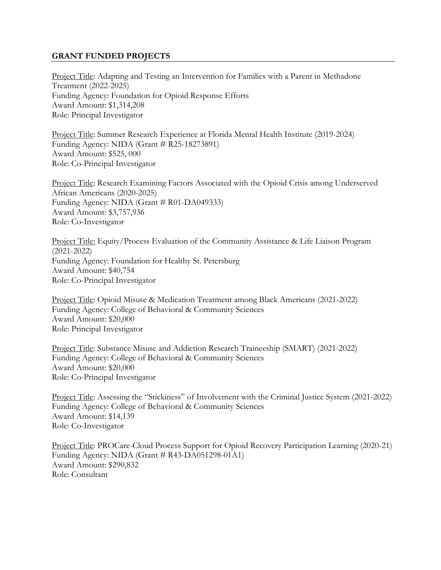## **GRANT FUNDED PROJECTS**

Project Title: Adapting and Testing an Intervention for Families with a Parent in Methadone Treatment (2022-2025) Funding Agency: Foundation for Opioid Response Efforts Award Amount: \$1,314,208 Role: Principal Investigator

Project Title: Summer Research Experience at Florida Mental Health Institute (2019-2024) Funding Agency: NIDA (Grant # R25-18273891) Award Amount: \$525, 000 Role: Co-Principal Investigator

Project Title: Research Examining Factors Associated with the Opioid Crisis among Underserved African Americans (2020-2025) Funding Agency: NIDA (Grant # R01-DA049333) Award Amount: \$3,757,936 Role: Co-Investigator

Project Title: Equity/Process Evaluation of the Community Assistance & Life Liaison Program (2021-2022) Funding Agency: Foundation for Healthy St. Petersburg Award Amount: \$40,754 Role: Co-Principal Investigator

Project Title: Opioid Misuse & Medication Treatment among Black Americans (2021-2022) Funding Agency: College of Behavioral & Community Sciences Award Amount: \$20,000 Role: Principal Investigator

Project Title: Substance Misuse and Addiction Research Traineeship (SMART) (2021-2022) Funding Agency: College of Behavioral & Community Sciences Award Amount: \$20,000 Role: Co-Principal Investigator

Project Title: Assessing the "Stickiness" of Involvement with the Criminal Justice System (2021-2022) Funding Agency: College of Behavioral & Community Sciences Award Amount: \$14,139 Role: Co-Investigator

Project Title: PROCare-Cloud Process Support for Opioid Recovery Participation Learning (2020-21) Funding Agency: NIDA (Grant # R43-DA051298-01A1) Award Amount: \$290,832 Role: Consultant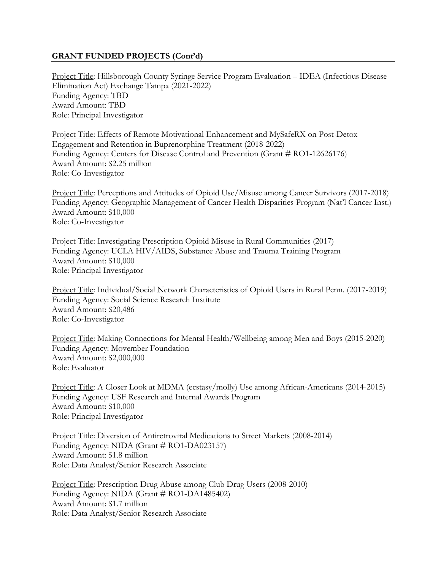## **GRANT FUNDED PROJECTS (Cont'd)**

Project Title: Hillsborough County Syringe Service Program Evaluation – IDEA (Infectious Disease Elimination Act) Exchange Tampa (2021-2022) Funding Agency: TBD Award Amount: TBD Role: Principal Investigator

Project Title: Effects of Remote Motivational Enhancement and MySafeRX on Post-Detox Engagement and Retention in Buprenorphine Treatment (2018-2022) Funding Agency: Centers for Disease Control and Prevention (Grant # RO1-12626176) Award Amount: \$2.25 million Role: Co-Investigator

Project Title: Perceptions and Attitudes of Opioid Use/Misuse among Cancer Survivors (2017-2018) Funding Agency: Geographic Management of Cancer Health Disparities Program (Nat'l Cancer Inst.) Award Amount: \$10,000 Role: Co-Investigator

Project Title: Investigating Prescription Opioid Misuse in Rural Communities (2017) Funding Agency: UCLA HIV/AIDS, Substance Abuse and Trauma Training Program Award Amount: \$10,000 Role: Principal Investigator

Project Title: Individual/Social Network Characteristics of Opioid Users in Rural Penn. (2017-2019) Funding Agency: Social Science Research Institute Award Amount: \$20,486 Role: Co-Investigator

Project Title: Making Connections for Mental Health/Wellbeing among Men and Boys (2015-2020) Funding Agency: Movember Foundation Award Amount: \$2,000,000 Role: Evaluator

Project Title: A Closer Look at MDMA (ecstasy/molly) Use among African-Americans (2014-2015) Funding Agency: USF Research and Internal Awards Program Award Amount: \$10,000 Role: Principal Investigator

Project Title: Diversion of Antiretroviral Medications to Street Markets (2008-2014) Funding Agency: NIDA (Grant # RO1-DA023157) Award Amount: \$1.8 million Role: Data Analyst/Senior Research Associate

Project Title: Prescription Drug Abuse among Club Drug Users (2008-2010) Funding Agency: NIDA (Grant # RO1-DA1485402) Award Amount: \$1.7 million Role: Data Analyst/Senior Research Associate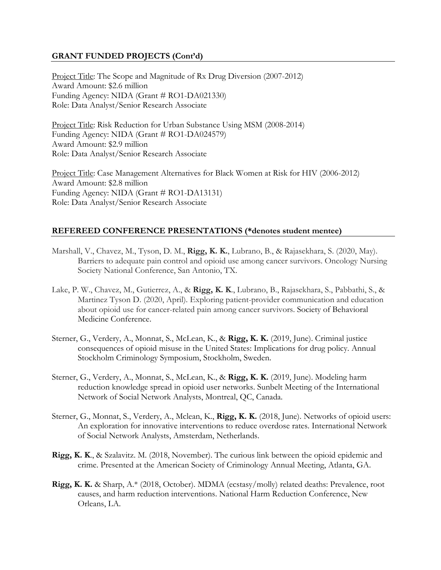## **GRANT FUNDED PROJECTS (Cont'd)**

Project Title: The Scope and Magnitude of Rx Drug Diversion (2007-2012) Award Amount: \$2.6 million Funding Agency: NIDA (Grant # RO1-DA021330) Role: Data Analyst/Senior Research Associate

Project Title: Risk Reduction for Urban Substance Using MSM (2008-2014) Funding Agency: NIDA (Grant # RO1-DA024579) Award Amount: \$2.9 million Role: Data Analyst/Senior Research Associate

Project Title: Case Management Alternatives for Black Women at Risk for HIV (2006-2012) Award Amount: \$2.8 million Funding Agency: NIDA (Grant # RO1-DA13131) Role: Data Analyst/Senior Research Associate

## **REFEREED CONFERENCE PRESENTATIONS (\*denotes student mentee)**

- Marshall, V., Chavez, M., Tyson, D. M., **Rigg, K. K.**, Lubrano, B., & Rajasekhara, S. (2020, May). Barriers to adequate pain control and opioid use among cancer survivors. Oncology Nursing Society National Conference, San Antonio, TX.
- Lake, P. W., Chavez, M., Gutierrez, A., & **Rigg, K. K**., Lubrano, B., Rajasekhara, S., Pabbathi, S., & Martinez Tyson D. (2020, April). Exploring patient-provider communication and education about opioid use for cancer-related pain among cancer survivors. Society of Behavioral Medicine Conference.
- Sterner, G., Verdery, A., Monnat, S., McLean, K., & **Rigg, K. K.** (2019, June). Criminal justice consequences of opioid misuse in the United States: Implications for drug policy. Annual Stockholm Criminology Symposium, Stockholm, Sweden.
- Sterner, G., Verdery, A., Monnat, S., McLean, K., & **Rigg, K. K.** (2019, June). Modeling harm reduction knowledge spread in opioid user networks. Sunbelt Meeting of the International Network of Social Network Analysts, Montreal, QC, Canada.
- Sterner, G., Monnat, S., Verdery, A., Mclean, K., **Rigg, K. K.** (2018, June). Networks of opioid users: An exploration for innovative interventions to reduce overdose rates. International Network of Social Network Analysts, Amsterdam, Netherlands.
- **Rigg, K. K**., & Szalavitz. M. (2018, November). The curious link between the opioid epidemic and crime. Presented at the American Society of Criminology Annual Meeting, Atlanta, GA.
- **Rigg, K. K.** & Sharp, A.\* (2018, October). MDMA (ecstasy/molly) related deaths: Prevalence, root causes, and harm reduction interventions. National Harm Reduction Conference, New Orleans, LA.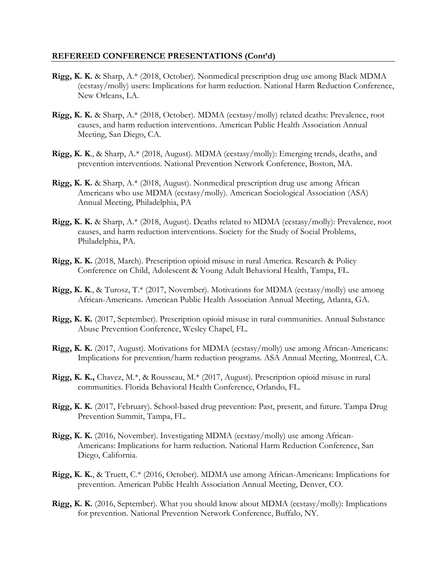- **Rigg, K. K.** & Sharp, A.\* (2018, October). Nonmedical prescription drug use among Black MDMA (ecstasy/molly) users: Implications for harm reduction. National Harm Reduction Conference, New Orleans, LA.
- **Rigg, K. K.** & Sharp, A.\* (2018, October). MDMA (ecstasy/molly) related deaths: Prevalence, root causes, and harm reduction interventions. American Public Health Association Annual Meeting, San Diego, CA.
- **Rigg, K. K**., & Sharp, A.\* (2018, August). MDMA (ecstasy/molly): Emerging trends, deaths, and prevention interventions. National Prevention Network Conference, Boston, MA.
- **Rigg, K. K.** & Sharp, A.\* (2018, August). Nonmedical prescription drug use among African Americans who use MDMA (ecstasy/molly). American Sociological Association (ASA) Annual Meeting, Philadelphia, PA
- **Rigg, K. K.** & Sharp, A.\* (2018, August). Deaths related to MDMA (ecstasy/molly): Prevalence, root causes, and harm reduction interventions. Society for the Study of Social Problems, Philadelphia, PA.
- **Rigg, K. K.** (2018, March). Prescription opioid misuse in rural America. Research & Policy Conference on Child, Adolescent & Young Adult Behavioral Health, Tampa, FL.
- **Rigg, K. K**., & Turosz, T.\* (2017, November). Motivations for MDMA (ecstasy/molly) use among African-Americans. American Public Health Association Annual Meeting, Atlanta, GA.
- **Rigg, K. K.** (2017, September). Prescription opioid misuse in rural communities. Annual Substance Abuse Prevention Conference, Wesley Chapel, FL.
- **Rigg, K. K.** (2017, August). Motivations for MDMA (ecstasy/molly) use among African-Americans: Implications for prevention/harm reduction programs. ASA Annual Meeting, Montreal, CA.
- **Rigg, K. K.,** Chavez, M.\*, & Rousseau, M.\* (2017, August). Prescription opioid misuse in rural communities. Florida Behavioral Health Conference, Orlando, FL.
- **Rigg, K. K.** (2017, February). School-based drug prevention: Past, present, and future. Tampa Drug Prevention Summit, Tampa, FL.
- **Rigg, K. K.** (2016, November). Investigating MDMA (ecstasy/molly) use among African-Americans: Implications for harm reduction. National Harm Reduction Conference, San Diego, California.
- **Rigg, K. K.**, & Truett, C.\* (2016, October). MDMA use among African-Americans: Implications for prevention. American Public Health Association Annual Meeting, Denver, CO.
- **Rigg, K. K.** (2016, September). What you should know about MDMA (ecstasy/molly): Implications for prevention. National Prevention Network Conference, Buffalo, NY.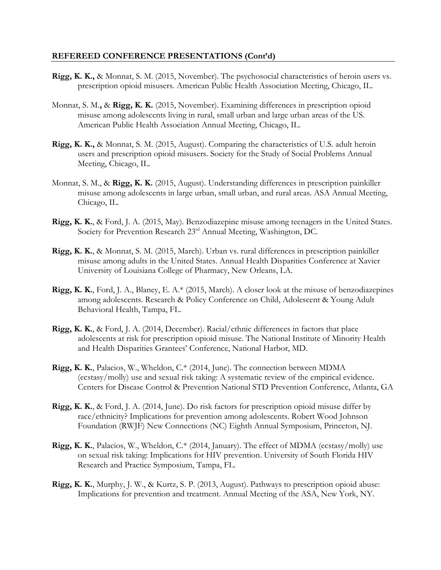- **Rigg, K. K.,** & Monnat, S. M. (2015, November). The psychosocial characteristics of heroin users vs. prescription opioid misusers. American Public Health Association Meeting, Chicago, IL.
- Monnat, S. M.**,** & **Rigg, K. K.** (2015, November). Examining differences in prescription opioid misuse among adolescents living in rural, small urban and large urban areas of the US. American Public Health Association Annual Meeting, Chicago, IL.
- **Rigg, K. K.,** & Monnat, S. M. (2015, August). Comparing the characteristics of U.S. adult heroin users and prescription opioid misusers. Society for the Study of Social Problems Annual Meeting, Chicago, IL.
- Monnat, S. M., & **Rigg, K. K.** (2015, August). Understanding differences in prescription painkiller misuse among adolescents in large urban, small urban, and rural areas. ASA Annual Meeting, Chicago, IL.
- **Rigg, K. K.**, & Ford, J. A. (2015, May). Benzodiazepine misuse among teenagers in the United States. Society for Prevention Research 23rd Annual Meeting, Washington, DC.
- **Rigg, K. K.**, & Monnat, S. M. (2015, March). Urban vs. rural differences in prescription painkiller misuse among adults in the United States. Annual Health Disparities Conference at Xavier University of Louisiana College of Pharmacy, New Orleans, LA.
- **Rigg, K. K.**, Ford, J. A., Blaney, E. A.\* (2015, March). A closer look at the misuse of benzodiazepines among adolescents. Research & Policy Conference on Child, Adolescent & Young Adult Behavioral Health, Tampa, FL.
- **Rigg, K. K.**, & Ford, J. A. (2014, December). Racial/ethnic differences in factors that place adolescents at risk for prescription opioid misuse. The National Institute of Minority Health and Health Disparities Grantees' Conference, National Harbor, MD.
- **Rigg, K. K.**, Palacios, W., Wheldon, C.\* (2014, June). The connection between MDMA (ecstasy/molly) use and sexual risk taking: A systematic review of the empirical evidence. Centers for Disease Control & Prevention National STD Prevention Conference, Atlanta, GA
- **Rigg, K. K.**, & Ford, J. A. (2014, June). Do risk factors for prescription opioid misuse differ by race/ethnicity? Implications for prevention among adolescents. Robert Wood Johnson Foundation (RWJF) New Connections (NC) Eighth Annual Symposium, Princeton, NJ.
- **Rigg, K. K.**, Palacios, W., Wheldon, C.\* (2014, January). The effect of MDMA (ecstasy/molly) use on sexual risk taking: Implications for HIV prevention. University of South Florida HIV Research and Practice Symposium, Tampa, FL.
- **Rigg, K. K.**, Murphy, J. W., & Kurtz, S. P. (2013, August). Pathways to prescription opioid abuse: Implications for prevention and treatment. Annual Meeting of the ASA, New York, NY.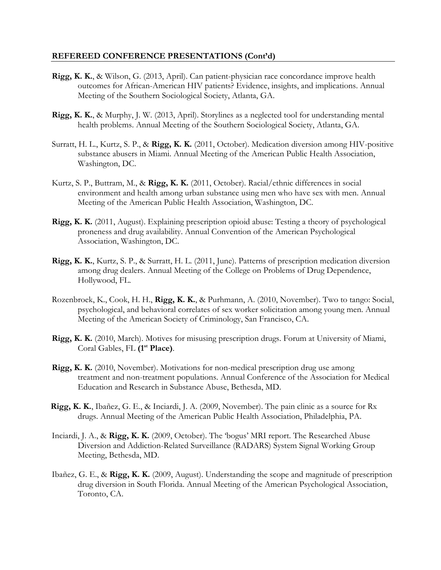- **Rigg, K. K.**, & Wilson, G. (2013, April). Can patient-physician race concordance improve health outcomes for African-American HIV patients? Evidence, insights, and implications. Annual Meeting of the Southern Sociological Society, Atlanta, GA.
- **Rigg, K. K.**, & Murphy, J. W. (2013, April). Storylines as a neglected tool for understanding mental health problems. Annual Meeting of the Southern Sociological Society, Atlanta, GA.
- Surratt, H. L., Kurtz, S. P., & **Rigg, K. K.** (2011, October). Medication diversion among HIV-positive substance abusers in Miami. Annual Meeting of the American Public Health Association, Washington, DC.
- Kurtz, S. P., Buttram, M., & **Rigg, K. K.** (2011, October). Racial/ethnic differences in social environment and health among urban substance using men who have sex with men. Annual Meeting of the American Public Health Association, Washington, DC.
- **Rigg, K. K.** (2011, August). Explaining prescription opioid abuse: Testing a theory of psychological proneness and drug availability. Annual Convention of the American Psychological Association, Washington, DC.
- **Rigg, K. K.**, Kurtz, S. P., & Surratt, H. L. (2011, June). Patterns of prescription medication diversion among drug dealers. Annual Meeting of the College on Problems of Drug Dependence, Hollywood, FL.
- Rozenbroek, K., Cook, H. H., **Rigg, K. K.**, & Purhmann, A. (2010, November). Two to tango: Social, psychological, and behavioral correlates of sex worker solicitation among young men. Annual Meeting of the American Society of Criminology, San Francisco, CA.
- **Rigg, K. K.** (2010, March). Motives for misusing prescription drugs. Forum at University of Miami, Coral Gables, FL (1<sup>st</sup> Place).
- **Rigg, K. K.** (2010, November). Motivations for non-medical prescription drug use among treatment and non-treatment populations. Annual Conference of the Association for Medical Education and Research in Substance Abuse, Bethesda, MD.
- **Rigg, K. K.**, Ibañez, G. E., & Inciardi, J. A. (2009, November). The pain clinic as a source for Rx drugs. Annual Meeting of the American Public Health Association, Philadelphia, PA.
- Inciardi, J. A., & **Rigg, K. K.** (2009, October). The 'bogus' MRI report. The Researched Abuse Diversion and Addiction-Related Surveillance (RADARS) System Signal Working Group Meeting, Bethesda, MD.
- Ibañez, G. E., & **Rigg, K. K.** (2009, August). Understanding the scope and magnitude of prescription drug diversion in South Florida. Annual Meeting of the American Psychological Association, Toronto, CA.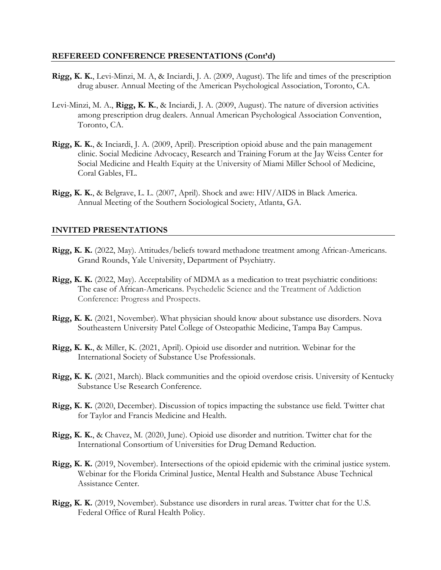- **Rigg, K. K.**, Levi-Minzi, M. A, & Inciardi, J. A. (2009, August). The life and times of the prescription drug abuser. Annual Meeting of the American Psychological Association, Toronto, CA.
- Levi-Minzi, M. A., **Rigg, K. K.**, & Inciardi, J. A. (2009, August). The nature of diversion activities among prescription drug dealers. Annual American Psychological Association Convention, Toronto, CA.
- **Rigg, K. K.**, & Inciardi, J. A. (2009, April). Prescription opioid abuse and the pain management clinic. Social Medicine Advocacy, Research and Training Forum at the Jay Weiss Center for Social Medicine and Health Equity at the University of Miami Miller School of Medicine, Coral Gables, FL.
- **Rigg, K. K.**, & Belgrave, L. L. (2007, April). Shock and awe: HIV/AIDS in Black America. Annual Meeting of the Southern Sociological Society, Atlanta, GA.

## **INVITED PRESENTATIONS**

- **Rigg, K. K.** (2022, May). Attitudes/beliefs toward methadone treatment among African-Americans. Grand Rounds, Yale University, Department of Psychiatry.
- **Rigg, K. K.** (2022, May). Acceptability of MDMA as a medication to treat psychiatric conditions: The case of African-Americans. Psychedelic Science and the Treatment of Addiction Conference: Progress and Prospects.
- **Rigg, K. K.** (2021, November). What physician should know about substance use disorders. Nova Southeastern University Patel College of Osteopathic Medicine, Tampa Bay Campus.
- **Rigg, K. K.**, & Miller, K. (2021, April). Opioid use disorder and nutrition. Webinar for the International Society of Substance Use Professionals.
- **Rigg, K. K.** (2021, March). Black communities and the opioid overdose crisis. University of Kentucky Substance Use Research Conference.
- **Rigg, K. K.** (2020, December). Discussion of topics impacting the substance use field. Twitter chat for Taylor and Francis Medicine and Health.
- **Rigg, K. K.**, & Chavez, M. (2020, June). Opioid use disorder and nutrition. Twitter chat for the International Consortium of Universities for Drug Demand Reduction.
- **Rigg, K. K.** (2019, November). Intersections of the opioid epidemic with the criminal justice system. Webinar for the Florida Criminal Justice, Mental Health and Substance Abuse Technical Assistance Center.
- **Rigg, K. K.** (2019, November). Substance use disorders in rural areas. Twitter chat for the U.S. Federal Office of Rural Health Policy.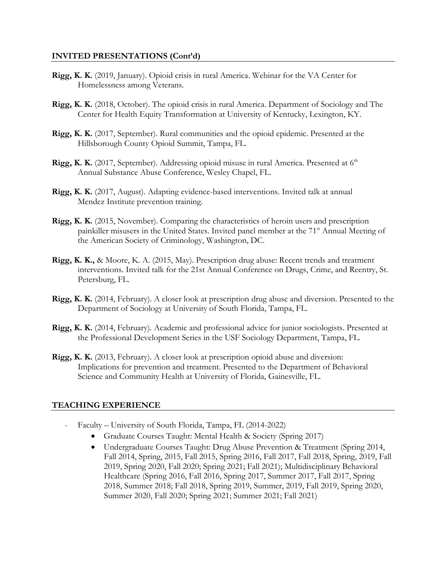## **INVITED PRESENTATIONS (Cont'd)**

- **Rigg, K. K.** (2019, January). Opioid crisis in rural America. Webinar for the VA Center for Homelessness among Veterans.
- **Rigg, K. K.** (2018, October). The opioid crisis in rural America. Department of Sociology and The Center for Health Equity Transformation at University of Kentucky, Lexington, KY.
- **Rigg, K. K.** (2017, September). Rural communities and the opioid epidemic. Presented at the Hillsborough County Opioid Summit, Tampa, FL.
- Rigg, K. K. (2017, September). Addressing opioid misuse in rural America. Presented at 6<sup>th</sup> Annual Substance Abuse Conference, Wesley Chapel, FL.
- **Rigg, K. K.** (2017, August). Adapting evidence-based interventions. Invited talk at annual Mendez Institute prevention training.
- **Rigg, K. K.** (2015, November). Comparing the characteristics of heroin users and prescription painkiller misusers in the United States. Invited panel member at the 71<sup>st</sup> Annual Meeting of the American Society of Criminology, Washington, DC.
- **Rigg, K. K.,** & Moore, K. A. (2015, May). Prescription drug abuse: Recent trends and treatment interventions. Invited talk for the 21st Annual Conference on Drugs, Crime, and Reentry, St. Petersburg, FL.
- **Rigg, K. K.** (2014, February). A closer look at prescription drug abuse and diversion. Presented to the Department of Sociology at University of South Florida, Tampa, FL.
- **Rigg, K. K.** (2014, February). Academic and professional advice for junior sociologists. Presented at the Professional Development Series in the USF Sociology Department, Tampa, FL.
- **Rigg, K. K.** (2013, February). A closer look at prescription opioid abuse and diversion: Implications for prevention and treatment. Presented to the Department of Behavioral Science and Community Health at University of Florida, Gainesville, FL.

## **TEACHING EXPERIENCE**

- Faculty University of South Florida, Tampa, FL (2014-2022)
	- Graduate Courses Taught: Mental Health & Society (Spring 2017)
	- Undergraduate Courses Taught: Drug Abuse Prevention & Treatment (Spring 2014, Fall 2014, Spring, 2015, Fall 2015, Spring 2016, Fall 2017, Fall 2018, Spring, 2019, Fall 2019, Spring 2020, Fall 2020; Spring 2021; Fall 2021); Multidisciplinary Behavioral Healthcare (Spring 2016, Fall 2016, Spring 2017, Summer 2017, Fall 2017, Spring 2018, Summer 2018; Fall 2018, Spring 2019, Summer, 2019, Fall 2019, Spring 2020, Summer 2020, Fall 2020; Spring 2021; Summer 2021; Fall 2021)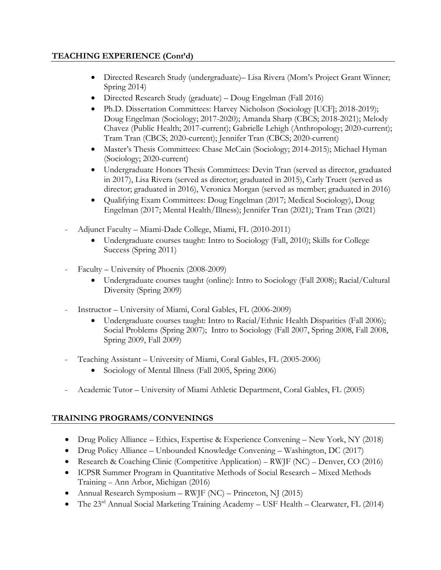## **TEACHING EXPERIENCE (Cont'd)**

- Directed Research Study (undergraduate)– Lisa Rivera (Mom's Project Grant Winner; Spring 2014)
- Directed Research Study (graduate) Doug Engelman (Fall 2016)
- Ph.D. Dissertation Committees: Harvey Nicholson (Sociology [UCF]; 2018-2019); Doug Engelman (Sociology; 2017-2020); Amanda Sharp (CBCS; 2018-2021); Melody Chavez (Public Health; 2017-current); Gabrielle Lehigh (Anthropology; 2020-current); Tram Tran (CBCS; 2020-current); Jennifer Tran (CBCS; 2020-current)
- Master's Thesis Committees: Chase McCain (Sociology; 2014-2015); Michael Hyman (Sociology; 2020-current)
- Undergraduate Honors Thesis Committees: Devin Tran (served as director, graduated in 2017), Lisa Rivera (served as director; graduated in 2015), Carly Truett (served as director; graduated in 2016), Veronica Morgan (served as member; graduated in 2016)
- Qualifying Exam Committees: Doug Engelman (2017; Medical Sociology), Doug Engelman (2017; Mental Health/Illness); Jennifer Tran (2021); Tram Tran (2021)
- Adjunct Faculty Miami-Dade College, Miami, FL (2010-2011)
	- Undergraduate courses taught: Intro to Sociology (Fall, 2010); Skills for College Success (Spring 2011)
- Faculty University of Phoenix (2008-2009)
	- Undergraduate courses taught (online): Intro to Sociology (Fall 2008); Racial/Cultural Diversity (Spring 2009)
- Instructor University of Miami, Coral Gables, FL (2006-2009)
	- Undergraduate courses taught: Intro to Racial/Ethnic Health Disparities (Fall 2006); Social Problems (Spring 2007); Intro to Sociology (Fall 2007, Spring 2008, Fall 2008, Spring 2009, Fall 2009)
- Teaching Assistant University of Miami, Coral Gables, FL (2005-2006)
	- Sociology of Mental Illness (Fall 2005, Spring 2006)
- Academic Tutor University of Miami Athletic Department, Coral Gables, FL (2005)

# **TRAINING PROGRAMS/CONVENINGS**

- Drug Policy Alliance Ethics, Expertise & Experience Convening New York, NY (2018)
- Drug Policy Alliance Unbounded Knowledge Convening Washington, DC (2017)
- Research & Coaching Clinic (Competitive Application) RWJF (NC) Denver, CO (2016)
- ICPSR Summer Program in Quantitative Methods of Social Research Mixed Methods Training – Ann Arbor, Michigan (2016)
- Annual Research Symposium RWJF (NC) Princeton, NJ (2015)
- The 23rd Annual Social Marketing Training Academy USF Health Clearwater, FL (2014)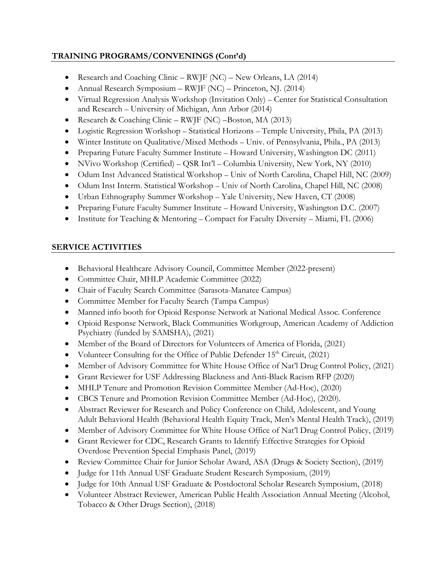# **TRAINING PROGRAMS/CONVENINGS (Cont'd)**

- Research and Coaching Clinic RWJF (NC) New Orleans, LA (2014)
- Annual Research Symposium RWJF (NC) Princeton, NJ. (2014)
- Virtual Regression Analysis Workshop (Invitation Only) Center for Statistical Consultation and Research – University of Michigan, Ann Arbor (2014)
- Research & Coaching Clinic RWJF (NC) –Boston, MA (2013)
- Logistic Regression Workshop Statistical Horizons Temple University, Phila, PA (2013)
- Winter Institute on Qualitative/Mixed Methods Univ. of Pennsylvania, Phila., PA (2013)
- Preparing Future Faculty Summer Institute Howard University, Washington DC (2011)
- NVivo Workshop (Certified) QSR Int'l Columbia University, New York, NY (2010)
- Odum Inst Advanced Statistical Workshop Univ of North Carolina, Chapel Hill, NC (2009)
- Odum Inst Interm. Statistical Workshop Univ of North Carolina, Chapel Hill, NC (2008)
- Urban Ethnography Summer Workshop Yale University, New Haven, CT (2008)
- Preparing Future Faculty Summer Institute Howard University, Washington D.C. (2007)
- Institute for Teaching & Mentoring Compact for Faculty Diversity Miami, FL (2006)

## **SERVICE ACTIVITIES**

- Behavioral Healthcare Advisory Council, Committee Member (2022-present)
- Committee Chair, MHLP Academic Committee (2022)
- Chair of Faculty Search Committee (Sarasota-Manatee Campus)
- Committee Member for Faculty Search (Tampa Campus)
- Manned info booth for Opioid Response Network at National Medical Assoc. Conference
- Opioid Response Network, Black Communities Workgroup, American Academy of Addiction Psychiatry (funded by SAMSHA), (2021)
- Member of the Board of Directors for Volunteers of America of Florida, (2021)
- Volunteer Consulting for the Office of Public Defender 15<sup>th</sup> Circuit, (2021)
- Member of Advisory Committee for White House Office of Nat'l Drug Control Policy, (2021)
- Grant Reviewer for USF Addressing Blackness and Anti-Black Racism RFP (2020)
- MHLP Tenure and Promotion Revision Committee Member (Ad-Hoc), (2020)
- CBCS Tenure and Promotion Revision Committee Member (Ad-Hoc), (2020).
- Abstract Reviewer for Research and Policy Conference on Child, Adolescent, and Young Adult Behavioral Health (Behavioral Health Equity Track, Men's Mental Health Track), (2019)
- Member of Advisory Committee for White House Office of Nat'l Drug Control Policy, (2019)
- Grant Reviewer for CDC, Research Grants to Identify Effective Strategies for Opioid Overdose Prevention Special Emphasis Panel, (2019)
- Review Committee Chair for Junior Scholar Award, ASA (Drugs & Society Section), (2019)
- Judge for 11th Annual USF Graduate Student Research Symposium, (2019)
- Judge for 10th Annual USF Graduate & Postdoctoral Scholar Research Symposium, (2018)
- Volunteer Abstract Reviewer, American Public Health Association Annual Meeting (Alcohol, Tobacco & Other Drugs Section), (2018)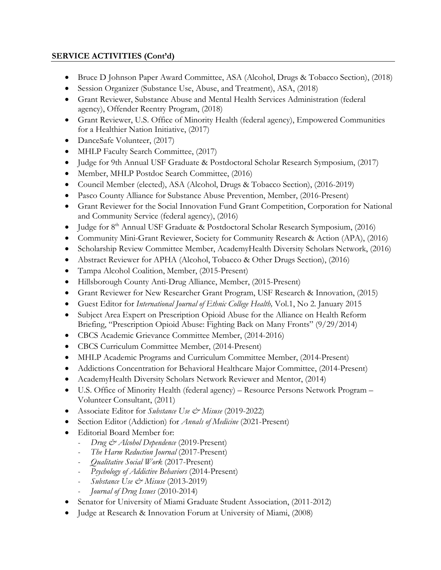## **SERVICE ACTIVITIES (Cont'd)**

- Bruce D Johnson Paper Award Committee, ASA (Alcohol, Drugs & Tobacco Section), (2018)
- Session Organizer (Substance Use, Abuse, and Treatment), ASA, (2018)
- Grant Reviewer, Substance Abuse and Mental Health Services Administration (federal agency), Offender Reentry Program, (2018)
- Grant Reviewer, U.S. Office of Minority Health (federal agency), Empowered Communities for a Healthier Nation Initiative, (2017)
- DanceSafe Volunteer, (2017)
- MHLP Faculty Search Committee, (2017)
- Judge for 9th Annual USF Graduate & Postdoctoral Scholar Research Symposium, (2017)
- Member, MHLP Postdoc Search Committee, (2016)
- Council Member (elected), ASA (Alcohol, Drugs & Tobacco Section), (2016-2019)
- Pasco County Alliance for Substance Abuse Prevention, Member, (2016-Present)
- Grant Reviewer for the Social Innovation Fund Grant Competition, Corporation for National and Community Service (federal agency), (2016)
- Judge for 8<sup>th</sup> Annual USF Graduate & Postdoctoral Scholar Research Symposium, (2016)
- Community Mini-Grant Reviewer, Society for Community Research & Action (APA), (2016)
- Scholarship Review Committee Member, AcademyHealth Diversity Scholars Network, (2016)
- Abstract Reviewer for APHA (Alcohol, Tobacco & Other Drugs Section), (2016)
- Tampa Alcohol Coalition, Member, (2015-Present)
- Hillsborough County Anti-Drug Alliance, Member, (2015-Present)
- Grant Reviewer for New Researcher Grant Program, USF Research & Innovation, (2015)
- Guest Editor for *International Journal of Ethnic College Health,* Vol.1, No 2. January 2015
- Subject Area Expert on Prescription Opioid Abuse for the Alliance on Health Reform Briefing, "Prescription Opioid Abuse: Fighting Back on Many Fronts" (9/29/2014)
- CBCS Academic Grievance Committee Member, (2014-2016)
- CBCS Curriculum Committee Member, (2014-Present)
- MHLP Academic Programs and Curriculum Committee Member, (2014-Present)
- Addictions Concentration for Behavioral Healthcare Major Committee, (2014-Present)
- AcademyHealth Diversity Scholars Network Reviewer and Mentor, (2014)
- U.S. Office of Minority Health (federal agency) Resource Persons Network Program Volunteer Consultant, (2011)
- Associate Editor for *Substance Use & Misuse* (2019-2022)
- Section Editor (Addiction) for *Annals of Medicine* (2021-Present)
- Editorial Board Member for:
	- *- Drug & Alcohol Dependence* (2019-Present)
	- *- The Harm Reduction Journal* (2017-Present)
	- *- Qualitative Social Work* (2017-Present)
	- *- Psychology of Addictive Behaviors* (2014-Present)
	- *- Substance Use & Misuse* (2013-2019)
	- *- Journal of Drug Issues* (2010-2014)
- Senator for University of Miami Graduate Student Association, (2011-2012)
- Judge at Research & Innovation Forum at University of Miami, (2008)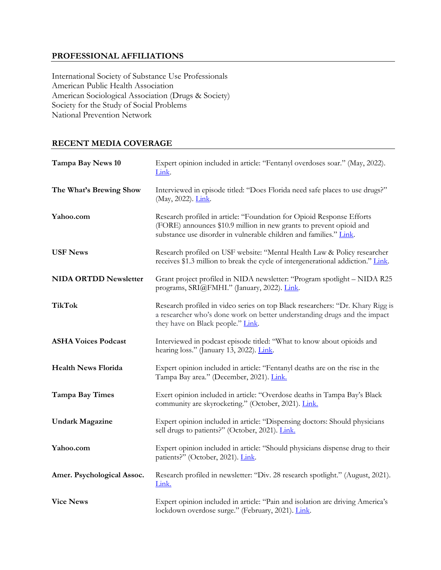## **PROFESSIONAL AFFILIATIONS**

International Society of Substance Use Professionals American Public Health Association American Sociological Association (Drugs & Society) Society for the Study of Social Problems National Prevention Network

## **RECENT MEDIA COVERAGE**

| Tampa Bay News 10            | Expert opinion included in article: "Fentanyl overdoses soar." (May, 2022).<br>Link.                                                                                                                               |
|------------------------------|--------------------------------------------------------------------------------------------------------------------------------------------------------------------------------------------------------------------|
| The What's Brewing Show      | Interviewed in episode titled: "Does Florida need safe places to use drugs?"<br>(May, 2022). Link.                                                                                                                 |
| Yahoo.com                    | Research profiled in article: "Foundation for Opioid Response Efforts<br>(FORE) announces \$10.9 million in new grants to prevent opioid and<br>substance use disorder in vulnerable children and families." Link. |
| <b>USF News</b>              | Research profiled on USF website: "Mental Health Law & Policy researcher<br>receives \$1.3 million to break the cycle of intergenerational addiction." Link.                                                       |
| <b>NIDA ORTDD Newsletter</b> | Grant project profiled in NIDA newsletter: "Program spotlight - NIDA R25<br>programs, SRI@FMHI." (January, 2022). Link.                                                                                            |
| <b>TikTok</b>                | Research profiled in video series on top Black researchers: "Dr. Khary Rigg is<br>a researcher who's done work on better understanding drugs and the impact<br>they have on Black people." Link.                   |
| <b>ASHA Voices Podcast</b>   | Interviewed in podcast episode titled: "What to know about opioids and<br>hearing loss." (January 13, 2022). Link.                                                                                                 |
| <b>Health News Florida</b>   | Expert opinion included in article: "Fentanyl deaths are on the rise in the<br>Tampa Bay area." (December, 2021). Link.                                                                                            |
| <b>Tampa Bay Times</b>       | Exert opinion included in article: "Overdose deaths in Tampa Bay's Black<br>community are skyrocketing." (October, 2021). Link.                                                                                    |
| <b>Undark Magazine</b>       | Expert opinion included in article: "Dispensing doctors: Should physicians<br>sell drugs to patients?" (October, 2021). Link.                                                                                      |
| Yahoo.com                    | Expert opinion included in article: "Should physicians dispense drug to their<br>patients?" (October, 2021). Link.                                                                                                 |
| Amer. Psychological Assoc.   | Research profiled in newsletter: "Div. 28 research spotlight." (August, 2021).<br>Link.                                                                                                                            |
| <b>Vice News</b>             | Expert opinion included in article: "Pain and isolation are driving America's<br>lockdown overdose surge." (February, 2021). Link.                                                                                 |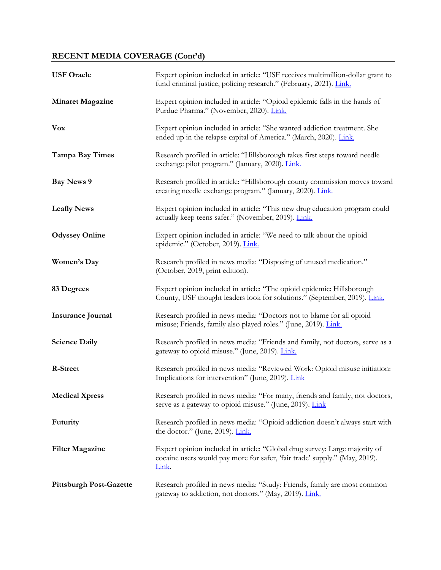| <b>USF Oracle</b>              | Expert opinion included in article: "USF receives multimillion-dollar grant to<br>fund criminal justice, policing research." (February, 2021). Link.                      |
|--------------------------------|---------------------------------------------------------------------------------------------------------------------------------------------------------------------------|
| <b>Minaret Magazine</b>        | Expert opinion included in article: "Opioid epidemic falls in the hands of<br>Purdue Pharma." (November, 2020). Link.                                                     |
| <b>Vox</b>                     | Expert opinion included in article: "She wanted addiction treatment. She<br>ended up in the relapse capital of America." (March, 2020). Link.                             |
| <b>Tampa Bay Times</b>         | Research profiled in article: "Hillsborough takes first steps toward needle<br>exchange pilot program." (January, 2020). Link.                                            |
| <b>Bay News 9</b>              | Research profiled in article: "Hillsborough county commission moves toward<br>creating needle exchange program." (January, 2020). Link.                                   |
| <b>Leafly News</b>             | Expert opinion included in article: "This new drug education program could<br>actually keep teens safer." (November, 2019). Link.                                         |
| <b>Odyssey Online</b>          | Expert opinion included in article: "We need to talk about the opioid<br>epidemic." (October, 2019). Link.                                                                |
| Women's Day                    | Research profiled in news media: "Disposing of unused medication."<br>(October, 2019, print edition).                                                                     |
| 83 Degrees                     | Expert opinion included in article: "The opioid epidemic: Hillsborough<br>County, USF thought leaders look for solutions." (September, 2019). Link.                       |
| <b>Insurance Journal</b>       | Research profiled in news media: "Doctors not to blame for all opioid<br>misuse; Friends, family also played roles." (June, 2019). Link.                                  |
| <b>Science Daily</b>           | Research profiled in news media: "Friends and family, not doctors, serve as a<br>gateway to opioid misuse." (June, 2019). Link.                                           |
| <b>R-Street</b>                | Research profiled in news media: "Reviewed Work: Opioid misuse initiation:<br>Implications for intervention" (June, 2019). Link                                           |
| <b>Medical Xpress</b>          | Research profiled in news media: "For many, friends and family, not doctors,<br>serve as a gateway to opioid misuse." (June, 2019). <i>Link</i>                           |
| Futurity                       | Research profiled in news media: "Opioid addiction doesn't always start with<br>the doctor." (June, 2019). $\underline{\text{Link}}$ .                                    |
| <b>Filter Magazine</b>         | Expert opinion included in article: "Global drug survey: Large majority of<br>cocaine users would pay more for safer, 'fair trade' supply." (May, 2019).<br><u>Link</u> . |
| <b>Pittsburgh Post-Gazette</b> | Research profiled in news media: "Study: Friends, family are most common<br>gateway to addiction, not doctors." (May, 2019). Link.                                        |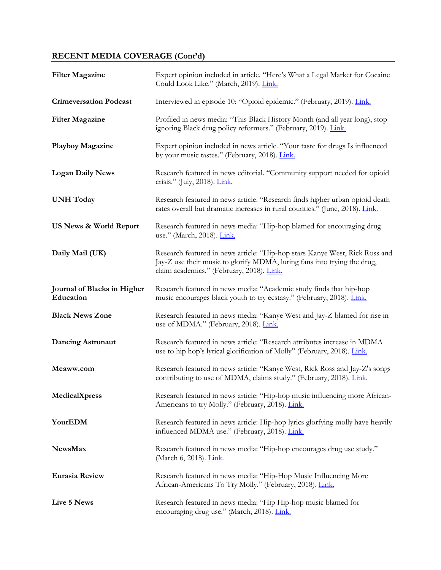| <b>Filter Magazine</b>                   | Expert opinion included in article. "Here's What a Legal Market for Cocaine<br>Could Look Like." (March, 2019). Link.                                                                                |
|------------------------------------------|------------------------------------------------------------------------------------------------------------------------------------------------------------------------------------------------------|
| <b>Crimeversation Podcast</b>            | Interviewed in episode 10: "Opioid epidemic." (February, 2019). Link.                                                                                                                                |
| <b>Filter Magazine</b>                   | Profiled in news media: "This Black History Month (and all year long), stop<br>ignoring Black drug policy reformers." (February, 2019). Link.                                                        |
| <b>Playboy Magazine</b>                  | Expert opinion included in news article. "Your taste for drugs Is influenced<br>by your music tastes." (February, 2018). Link.                                                                       |
| <b>Logan Daily News</b>                  | Research featured in news editorial. "Community support needed for opioid<br>crisis." (July, 2018). <i>Link.</i>                                                                                     |
| <b>UNH</b> Today                         | Research featured in news article. "Research finds higher urban opioid death<br>rates overall but dramatic increases in rural counties." (June, 2018). Link.                                         |
| <b>US News &amp; World Report</b>        | Research featured in news media: "Hip-hop blamed for encouraging drug<br>use." (March, 2018). <i>Link.</i>                                                                                           |
| Daily Mail (UK)                          | Research featured in news article: "Hip-hop stars Kanye West, Rick Ross and<br>Jay-Z use their music to glorify MDMA, luring fans into trying the drug,<br>claim academics." (February, 2018). Link. |
| Journal of Blacks in Higher<br>Education | Research featured in news media: "Academic study finds that hip-hop<br>music encourages black youth to try ecstasy." (February, 2018). Link.                                                         |
| <b>Black News Zone</b>                   | Research featured in news media: "Kanye West and Jay-Z blamed for rise in<br>use of MDMA." (February, 2018). Link.                                                                                   |
| <b>Dancing Astronaut</b>                 | Research featured in news article: "Research attributes increase in MDMA<br>use to hip hop's lyrical glorification of Molly" (February, 2018). Link.                                                 |
| Meaww.com                                | Research featured in news article: "Kanye West, Rick Ross and Jay-Z's songs<br>contributing to use of MDMA, claims study." (February, 2018). Link.                                                   |
| MedicalXpress                            | Research featured in news article: "Hip-hop music influencing more African-<br>Americans to try Molly." (February, 2018). Link.                                                                      |
| YourEDM                                  | Research featured in news article: Hip-hop lyrics glorfying molly have heavily<br>influenced MDMA use." (February, 2018). Link.                                                                      |
| <b>NewsMax</b>                           | Research featured in news media: "Hip-hop encourages drug use study."<br>(March 6, 2018). <i>Link</i> .                                                                                              |
| <b>Eurasia Review</b>                    | Research featured in news media: "Hip-Hop Music Influencing More<br>African-Americans To Try Molly." (February, 2018). Link.                                                                         |
| Live 5 News                              | Research featured in news media: "Hip Hip-hop music blamed for<br>encouraging drug use." (March, 2018). Link.                                                                                        |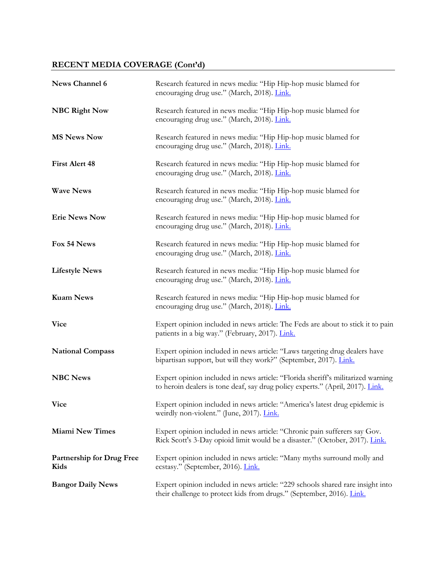| News Channel 6                           | Research featured in news media: "Hip Hip-hop music blamed for<br>encouraging drug use." (March, 2018). Link.                                                     |
|------------------------------------------|-------------------------------------------------------------------------------------------------------------------------------------------------------------------|
| <b>NBC Right Now</b>                     | Research featured in news media: "Hip Hip-hop music blamed for<br>encouraging drug use." (March, 2018). Link.                                                     |
| <b>MS News Now</b>                       | Research featured in news media: "Hip Hip-hop music blamed for<br>encouraging drug use." (March, 2018). Link.                                                     |
| <b>First Alert 48</b>                    | Research featured in news media: "Hip Hip-hop music blamed for<br>encouraging drug use." (March, 2018). Link.                                                     |
| <b>Wave News</b>                         | Research featured in news media: "Hip Hip-hop music blamed for<br>encouraging drug use." (March, 2018). Link.                                                     |
| <b>Erie News Now</b>                     | Research featured in news media: "Hip Hip-hop music blamed for<br>encouraging drug use." (March, 2018). Link.                                                     |
| Fox 54 News                              | Research featured in news media: "Hip Hip-hop music blamed for<br>encouraging drug use." (March, 2018). Link.                                                     |
| <b>Lifestyle News</b>                    | Research featured in news media: "Hip Hip-hop music blamed for<br>encouraging drug use." (March, 2018). Link.                                                     |
| <b>Kuam News</b>                         | Research featured in news media: "Hip Hip-hop music blamed for<br>encouraging drug use." (March, 2018). Link.                                                     |
| <b>Vice</b>                              | Expert opinion included in news article: The Feds are about to stick it to pain<br>patients in a big way." (February, 2017). Link.                                |
| <b>National Compass</b>                  | Expert opinion included in news article: "Laws targeting drug dealers have<br>bipartisan support, but will they work?" (September, 2017). Link.                   |
| <b>NBC News</b>                          | Expert opinion included in news article: "Florida sheriff's militarized warning<br>to heroin dealers is tone deaf, say drug policy experts." (April, 2017). Link. |
| Vice                                     | Expert opinion included in news article: "America's latest drug epidemic is<br>weirdly non-violent." (June, 2017). Link.                                          |
| <b>Miami New Times</b>                   | Expert opinion included in news article: "Chronic pain sufferers say Gov.<br>Rick Scott's 3-Day opioid limit would be a disaster." (October, 2017). Link.         |
| <b>Partnership for Drug Free</b><br>Kids | Expert opinion included in news article: "Many myths surround molly and<br>ecstasy." (September, 2016). Link.                                                     |
| <b>Bangor Daily News</b>                 | Expert opinion included in news article: "229 schools shared rare insight into<br>their challenge to protect kids from drugs." (September, 2016). Link.           |

<u> 1980 - Johann Barn, mars an t-Amerikaansk kommunister (</u>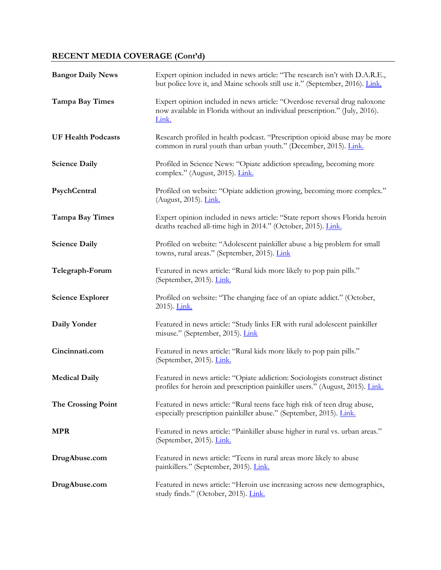| <b>Bangor Daily News</b>  | Expert opinion included in news article: "The research isn't with D.A.R.E.,<br>but police love it, and Maine schools still use it." (September, 2016). Link.      |
|---------------------------|-------------------------------------------------------------------------------------------------------------------------------------------------------------------|
| <b>Tampa Bay Times</b>    | Expert opinion included in news article: "Overdose reversal drug naloxone<br>now available in Florida without an individual prescription." (July, 2016).<br>Link. |
| <b>UF Health Podcasts</b> | Research profiled in health podcast. "Prescription opioid abuse may be more<br>common in rural youth than urban youth." (December, 2015). Link.                   |
| <b>Science Daily</b>      | Profiled in Science News: "Opiate addiction spreading, becoming more<br>complex." (August, 2015). <i>Link.</i>                                                    |
| PsychCentral              | Profiled on website: "Opiate addiction growing, becoming more complex."<br>(August, 2015). <i>Link.</i>                                                           |
| <b>Tampa Bay Times</b>    | Expert opinion included in news article: "State report shows Florida heroin<br>deaths reached all-time high in 2014." (October, 2015). Link.                      |
| <b>Science Daily</b>      | Profiled on website: "Adolescent painkiller abuse a big problem for small<br>towns, rural areas." (September, 2015). Link                                         |
| Telegraph-Forum           | Featured in news article: "Rural kids more likely to pop pain pills."<br>(September, 2015). Link.                                                                 |
| <b>Science Explorer</b>   | Profiled on website: "The changing face of an opiate addict." (October,<br>2015). Link.                                                                           |
| Daily Yonder              | Featured in news article: "Study links ER with rural adolescent painkiller<br>misuse." (September, 2015). Link                                                    |
| Cincinnati.com            | Featured in news article: "Rural kids more likely to pop pain pills."<br>(September, 2015). Link.                                                                 |
| <b>Medical Daily</b>      | Featured in news article: "Opiate addiction: Sociologists construct distinct<br>profiles for heroin and prescription painkiller users." (August, 2015). Link.     |
| The Crossing Point        | Featured in news article: "Rural teens face high risk of teen drug abuse,<br>especially prescription painkiller abuse." (September, 2015). Link.                  |
| <b>MPR</b>                | Featured in news article: "Painkiller abuse higher in rural vs. urban areas."<br>(September, 2015). Link.                                                         |
| DrugAbuse.com             | Featured in news article: "Teens in rural areas more likely to abuse<br>painkillers." (September, 2015). Link.                                                    |
| DrugAbuse.com             | Featured in news article: "Heroin use increasing across new demographics,<br>study finds." (October, 2015). Link.                                                 |